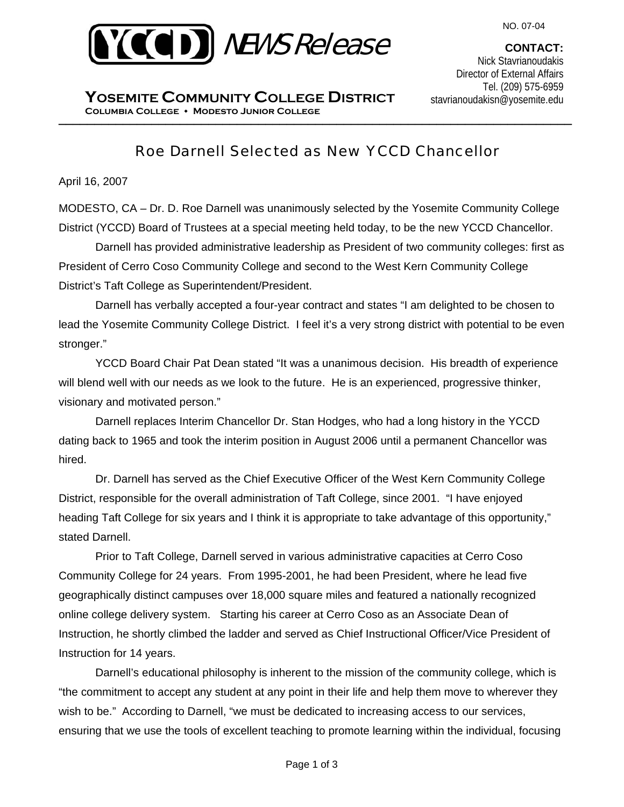

**CONTACT:**  Nick Stavrianoudakis Director of External Affairs Tel. (209) 575-6959 stavrianoudakisn@yosemite.edu

\_\_\_\_\_\_\_\_\_\_\_\_\_\_\_\_\_\_\_\_\_\_\_\_\_\_\_\_\_\_\_\_\_\_\_\_\_\_\_\_\_\_\_\_\_\_\_\_\_\_\_\_\_\_\_\_\_\_\_\_\_\_\_\_\_\_\_\_\_\_\_\_ **Columbia College Modesto Junior College YOSEMITE COMMUNITY COLLEGE DISTRICT**

# Roe Darnell Selected as New YCCD Chancellor

April 16, 2007

MODESTO, CA – Dr. D. Roe Darnell was unanimously selected by the Yosemite Community College District (YCCD) Board of Trustees at a special meeting held today, to be the new YCCD Chancellor.

 Darnell has provided administrative leadership as President of two community colleges: first as President of Cerro Coso Community College and second to the West Kern Community College District's Taft College as Superintendent/President.

 Darnell has verbally accepted a four-year contract and states "I am delighted to be chosen to lead the Yosemite Community College District. I feel it's a very strong district with potential to be even stronger."

 YCCD Board Chair Pat Dean stated "It was a unanimous decision. His breadth of experience will blend well with our needs as we look to the future. He is an experienced, progressive thinker, visionary and motivated person."

 Darnell replaces Interim Chancellor Dr. Stan Hodges, who had a long history in the YCCD dating back to 1965 and took the interim position in August 2006 until a permanent Chancellor was hired.

 Dr. Darnell has served as the Chief Executive Officer of the West Kern Community College District, responsible for the overall administration of Taft College, since 2001. "I have enjoyed heading Taft College for six years and I think it is appropriate to take advantage of this opportunity," stated Darnell.

 Prior to Taft College, Darnell served in various administrative capacities at Cerro Coso Community College for 24 years. From 1995-2001, he had been President, where he lead five geographically distinct campuses over 18,000 square miles and featured a nationally recognized online college delivery system. Starting his career at Cerro Coso as an Associate Dean of Instruction, he shortly climbed the ladder and served as Chief Instructional Officer/Vice President of Instruction for 14 years.

 Darnell's educational philosophy is inherent to the mission of the community college, which is "the commitment to accept any student at any point in their life and help them move to wherever they wish to be." According to Darnell, "we must be dedicated to increasing access to our services, ensuring that we use the tools of excellent teaching to promote learning within the individual, focusing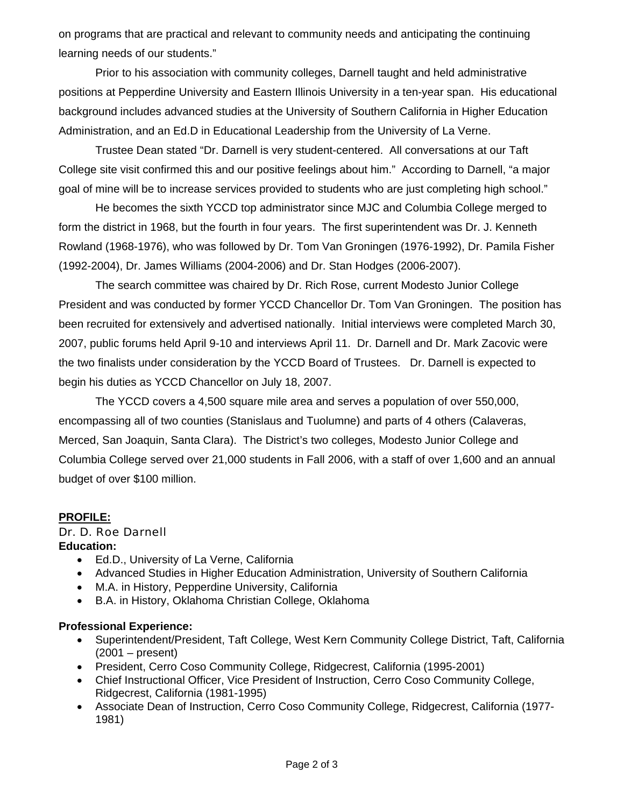on programs that are practical and relevant to community needs and anticipating the continuing learning needs of our students."

 Prior to his association with community colleges, Darnell taught and held administrative positions at Pepperdine University and Eastern Illinois University in a ten-year span. His educational background includes advanced studies at the University of Southern California in Higher Education Administration, and an Ed.D in Educational Leadership from the University of La Verne.

 Trustee Dean stated "Dr. Darnell is very student-centered. All conversations at our Taft College site visit confirmed this and our positive feelings about him." According to Darnell, "a major goal of mine will be to increase services provided to students who are just completing high school."

 He becomes the sixth YCCD top administrator since MJC and Columbia College merged to form the district in 1968, but the fourth in four years. The first superintendent was Dr. J. Kenneth Rowland (1968-1976), who was followed by Dr. Tom Van Groningen (1976-1992), Dr. Pamila Fisher (1992-2004), Dr. James Williams (2004-2006) and Dr. Stan Hodges (2006-2007).

 The search committee was chaired by Dr. Rich Rose, current Modesto Junior College President and was conducted by former YCCD Chancellor Dr. Tom Van Groningen. The position has been recruited for extensively and advertised nationally. Initial interviews were completed March 30, 2007, public forums held April 9-10 and interviews April 11. Dr. Darnell and Dr. Mark Zacovic were the two finalists under consideration by the YCCD Board of Trustees. Dr. Darnell is expected to begin his duties as YCCD Chancellor on July 18, 2007.

The YCCD covers a 4,500 square mile area and serves a population of over 550,000, encompassing all of two counties (Stanislaus and Tuolumne) and parts of 4 others (Calaveras, Merced, San Joaquin, Santa Clara). The District's two colleges, Modesto Junior College and Columbia College served over 21,000 students in Fall 2006, with a staff of over 1,600 and an annual budget of over \$100 million.

# **PROFILE:**

# Dr. D. Roe Darnell

# **Education:**

- Ed.D., University of La Verne, California
- Advanced Studies in Higher Education Administration, University of Southern California
- M.A. in History, Pepperdine University, California
- B.A. in History, Oklahoma Christian College, Oklahoma

# **Professional Experience:**

- Superintendent/President, Taft College, West Kern Community College District, Taft, California  $(2001 - present)$
- President, Cerro Coso Community College, Ridgecrest, California (1995-2001)
- Chief Instructional Officer, Vice President of Instruction, Cerro Coso Community College, Ridgecrest, California (1981-1995)
- Associate Dean of Instruction, Cerro Coso Community College, Ridgecrest, California (1977- 1981)